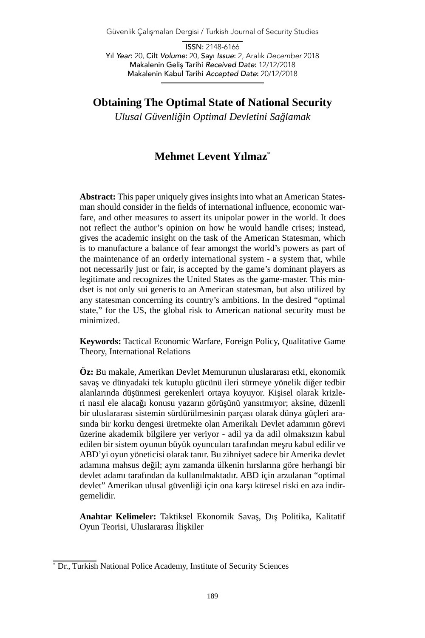Güvenlik Çalışmaları Dergisi / Turkish Journal of Security Studies

ISSN: 2148-6166 Yıl *Year*: 20, Cilt *Volume*: 20, Sayı *Issue*: 2, Aralık *December* 2018 Makalenin Geliş Tarihi *Received Date*: 12/12/2018 Makalenin Kabul Tarihi *Accepted Date*: 20/12/2018

**Obtaining The Optimal State of National Security**

*Ulusal Güvenliğin Optimal Devletini Sağlamak*

# **Mehmet Levent Yılmaz**\*

**Abstract:** This paper uniquely gives insights into what an American Statesman should consider in the fields of international influence, economic warfare, and other measures to assert its unipolar power in the world. It does not reflect the author's opinion on how he would handle crises; instead, gives the academic insight on the task of the American Statesman, which is to manufacture a balance of fear amongst the world's powers as part of the maintenance of an orderly international system - a system that, while not necessarily just or fair, is accepted by the game's dominant players as legitimate and recognizes the United States as the game-master. This mindset is not only sui generis to an American statesman, but also utilized by any statesman concerning its country's ambitions. In the desired "optimal state," for the US, the global risk to American national security must be minimized.

**Keywords:** Tactical Economic Warfare, Foreign Policy, Qualitative Game Theory, International Relations

**Öz:** Bu makale, Amerikan Devlet Memurunun uluslararası etki, ekonomik savaş ve dünyadaki tek kutuplu gücünü ileri sürmeye yönelik diğer tedbir alanlarında düşünmesi gerekenleri ortaya koyuyor. Kişisel olarak krizleri nasıl ele alacağı konusu yazarın görüşünü yansıtmıyor; aksine, düzenli bir uluslararası sistemin sürdürülmesinin parçası olarak dünya güçleri arasında bir korku dengesi üretmekte olan Amerikalı Devlet adamının görevi üzerine akademik bilgilere yer veriyor - adil ya da adil olmaksızın kabul edilen bir sistem oyunun büyük oyuncuları tarafından meşru kabul edilir ve ABD'yi oyun yöneticisi olarak tanır. Bu zihniyet sadece bir Amerika devlet adamına mahsus değil; aynı zamanda ülkenin hırslarına göre herhangi bir devlet adamı tarafından da kullanılmaktadır. ABD için arzulanan "optimal devlet" Amerikan ulusal güvenliği için ona karşı küresel riski en aza indirgemelidir.

**Anahtar Kelimeler:** Taktiksel Ekonomik Savaş, Dış Politika, Kalitatif Oyun Teorisi, Uluslararası İlişkiler

<sup>\*</sup> Dr., Turkish National Police Academy, Institute of Security Sciences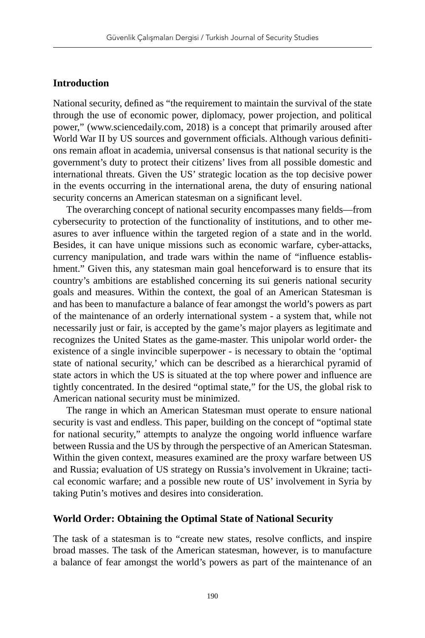#### **Introduction**

National security, defined as "the requirement to maintain the survival of the state through the use of economic power, diplomacy, power projection, and political power," (www.sciencedaily.com, 2018) is a concept that primarily aroused after World War II by US sources and government officials. Although various definitions remain afloat in academia, universal consensus is that national security is the government's duty to protect their citizens' lives from all possible domestic and international threats. Given the US' strategic location as the top decisive power in the events occurring in the international arena, the duty of ensuring national security concerns an American statesman on a significant level.

The overarching concept of national security encompasses many fields—from cybersecurity to protection of the functionality of institutions, and to other measures to aver influence within the targeted region of a state and in the world. Besides, it can have unique missions such as economic warfare, cyber-attacks, currency manipulation, and trade wars within the name of "influence establishment." Given this, any statesman main goal henceforward is to ensure that its country's ambitions are established concerning its sui generis national security goals and measures. Within the context, the goal of an American Statesman is and has been to manufacture a balance of fear amongst the world's powers as part of the maintenance of an orderly international system - a system that, while not necessarily just or fair, is accepted by the game's major players as legitimate and recognizes the United States as the game-master. This unipolar world order- the existence of a single invincible superpower - is necessary to obtain the 'optimal state of national security,' which can be described as a hierarchical pyramid of state actors in which the US is situated at the top where power and influence are tightly concentrated. In the desired "optimal state," for the US, the global risk to American national security must be minimized.

The range in which an American Statesman must operate to ensure national security is vast and endless. This paper, building on the concept of "optimal state for national security," attempts to analyze the ongoing world influence warfare between Russia and the US by through the perspective of an American Statesman. Within the given context, measures examined are the proxy warfare between US and Russia; evaluation of US strategy on Russia's involvement in Ukraine; tactical economic warfare; and a possible new route of US' involvement in Syria by taking Putin's motives and desires into consideration.

#### **World Order: Obtaining the Optimal State of National Security**

The task of a statesman is to "create new states, resolve conflicts, and inspire broad masses. The task of the American statesman, however, is to manufacture a balance of fear amongst the world's powers as part of the maintenance of an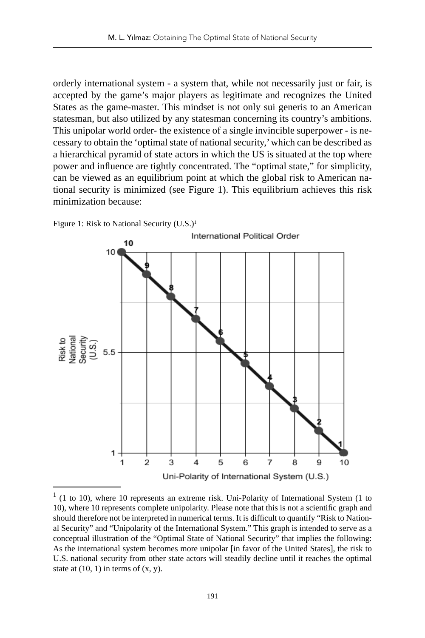orderly international system - a system that, while not necessarily just or fair, is accepted by the game's major players as legitimate and recognizes the United States as the game-master. This mindset is not only sui generis to an American statesman, but also utilized by any statesman concerning its country's ambitions. This unipolar world order- the existence of a single invincible superpower - is necessary to obtain the 'optimal state of national security,' which can be described as a hierarchical pyramid of state actors in which the US is situated at the top where power and influence are tightly concentrated. The "optimal state," for simplicity, can be viewed as an equilibrium point at which the global risk to American national security is minimized (see Figure 1). This equilibrium achieves this risk minimization because:



Figure 1: Risk to National Security  $(U.S.)<sup>1</sup>$ 

<sup>1</sup> (1 to 10), where 10 represents an extreme risk. Uni-Polarity of International System (1 to 10), where 10 represents complete unipolarity. Please note that this is not a scientific graph and should therefore not be interpreted in numerical terms. It is difficult to quantify "Risk to National Security" and "Unipolarity of the International System." This graph is intended to serve as a conceptual illustration of the "Optimal State of National Security" that implies the following: As the international system becomes more unipolar [in favor of the United States], the risk to U.S. national security from other state actors will steadily decline until it reaches the optimal state at  $(10, 1)$  in terms of  $(x, y)$ .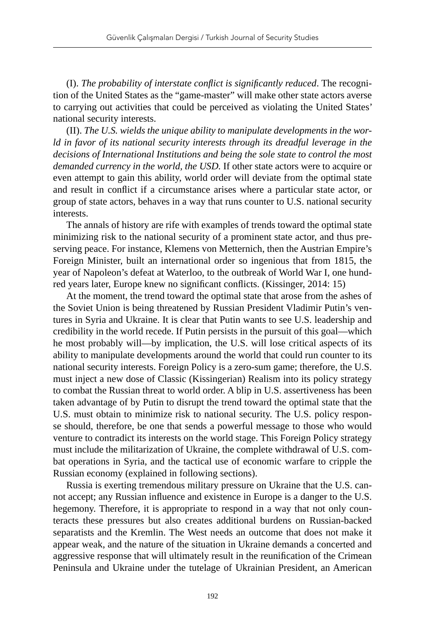(I). *The probability of interstate conflict is significantly reduced*. The recognition of the United States as the "game-master" will make other state actors averse to carrying out activities that could be perceived as violating the United States' national security interests.

(II). *The U.S. wields the unique ability to manipulate developments in the world in favor of its national security interests through its dreadful leverage in the decisions of International Institutions and being the sole state to control the most demanded currency in the world, the USD.* If other state actors were to acquire or even attempt to gain this ability, world order will deviate from the optimal state and result in conflict if a circumstance arises where a particular state actor, or group of state actors, behaves in a way that runs counter to U.S. national security interests.

The annals of history are rife with examples of trends toward the optimal state minimizing risk to the national security of a prominent state actor, and thus preserving peace. For instance, Klemens von Metternich, then the Austrian Empire's Foreign Minister, built an international order so ingenious that from 1815, the year of Napoleon's defeat at Waterloo, to the outbreak of World War I, one hundred years later, Europe knew no significant conflicts. (Kissinger, 2014: 15)

At the moment, the trend toward the optimal state that arose from the ashes of the Soviet Union is being threatened by Russian President Vladimir Putin's ventures in Syria and Ukraine. It is clear that Putin wants to see U.S. leadership and credibility in the world recede. If Putin persists in the pursuit of this goal—which he most probably will—by implication, the U.S. will lose critical aspects of its ability to manipulate developments around the world that could run counter to its national security interests. Foreign Policy is a zero-sum game; therefore, the U.S. must inject a new dose of Classic (Kissingerian) Realism into its policy strategy to combat the Russian threat to world order. A blip in U.S. assertiveness has been taken advantage of by Putin to disrupt the trend toward the optimal state that the U.S. must obtain to minimize risk to national security. The U.S. policy response should, therefore, be one that sends a powerful message to those who would venture to contradict its interests on the world stage. This Foreign Policy strategy must include the militarization of Ukraine, the complete withdrawal of U.S. combat operations in Syria, and the tactical use of economic warfare to cripple the Russian economy (explained in following sections).

Russia is exerting tremendous military pressure on Ukraine that the U.S. cannot accept; any Russian influence and existence in Europe is a danger to the U.S. hegemony. Therefore, it is appropriate to respond in a way that not only counteracts these pressures but also creates additional burdens on Russian-backed separatists and the Kremlin. The West needs an outcome that does not make it appear weak, and the nature of the situation in Ukraine demands a concerted and aggressive response that will ultimately result in the reunification of the Crimean Peninsula and Ukraine under the tutelage of Ukrainian President, an American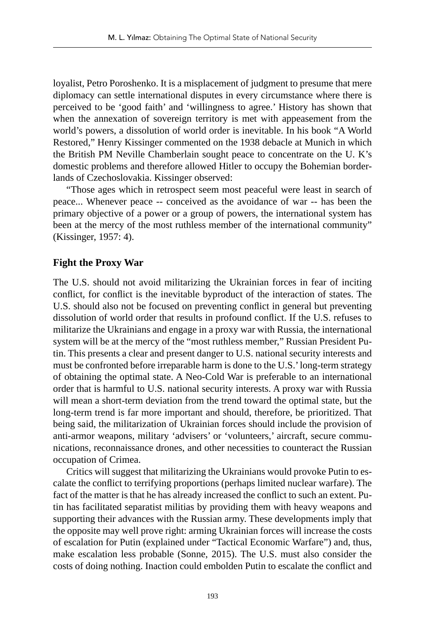loyalist, Petro Poroshenko. It is a misplacement of judgment to presume that mere diplomacy can settle international disputes in every circumstance where there is perceived to be 'good faith' and 'willingness to agree.' History has shown that when the annexation of sovereign territory is met with appeasement from the world's powers, a dissolution of world order is inevitable. In his book "A World Restored," Henry Kissinger commented on the 1938 debacle at Munich in which the British PM Neville Chamberlain sought peace to concentrate on the U. K's domestic problems and therefore allowed Hitler to occupy the Bohemian borderlands of Czechoslovakia. Kissinger observed:

"Those ages which in retrospect seem most peaceful were least in search of peace... Whenever peace -- conceived as the avoidance of war -- has been the primary objective of a power or a group of powers, the international system has been at the mercy of the most ruthless member of the international community" (Kissinger, 1957: 4).

# **Fight the Proxy War**

The U.S. should not avoid militarizing the Ukrainian forces in fear of inciting conflict, for conflict is the inevitable byproduct of the interaction of states. The U.S. should also not be focused on preventing conflict in general but preventing dissolution of world order that results in profound conflict. If the U.S. refuses to militarize the Ukrainians and engage in a proxy war with Russia, the international system will be at the mercy of the "most ruthless member," Russian President Putin. This presents a clear and present danger to U.S. national security interests and must be confronted before irreparable harm is done to the U.S.' long-term strategy of obtaining the optimal state. A Neo-Cold War is preferable to an international order that is harmful to U.S. national security interests. A proxy war with Russia will mean a short-term deviation from the trend toward the optimal state, but the long-term trend is far more important and should, therefore, be prioritized. That being said, the militarization of Ukrainian forces should include the provision of anti-armor weapons, military 'advisers' or 'volunteers,' aircraft, secure communications, reconnaissance drones, and other necessities to counteract the Russian occupation of Crimea.

Critics will suggest that militarizing the Ukrainians would provoke Putin to escalate the conflict to terrifying proportions (perhaps limited nuclear warfare). The fact of the matter is that he has already increased the conflict to such an extent. Putin has facilitated separatist militias by providing them with heavy weapons and supporting their advances with the Russian army. These developments imply that the opposite may well prove right: arming Ukrainian forces will increase the costs of escalation for Putin (explained under "Tactical Economic Warfare") and, thus, make escalation less probable (Sonne, 2015). The U.S. must also consider the costs of doing nothing. Inaction could embolden Putin to escalate the conflict and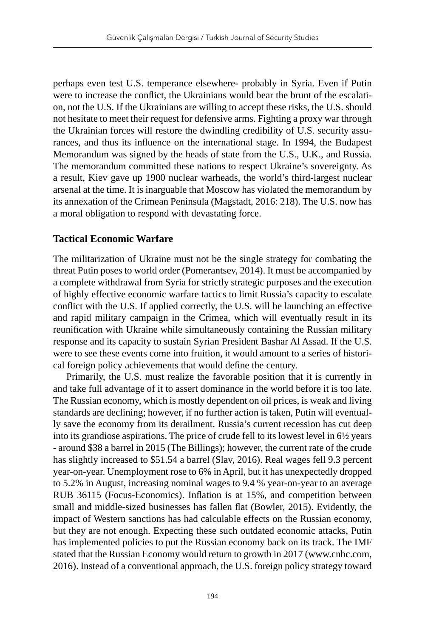perhaps even test U.S. temperance elsewhere- probably in Syria. Even if Putin were to increase the conflict, the Ukrainians would bear the brunt of the escalation, not the U.S. If the Ukrainians are willing to accept these risks, the U.S. should not hesitate to meet their request for defensive arms. Fighting a proxy war through the Ukrainian forces will restore the dwindling credibility of U.S. security assurances, and thus its influence on the international stage. In 1994, the Budapest Memorandum was signed by the heads of state from the U.S., U.K., and Russia. The memorandum committed these nations to respect Ukraine's sovereignty. As a result, Kiev gave up 1900 nuclear warheads, the world's third-largest nuclear arsenal at the time. It is inarguable that Moscow has violated the memorandum by its annexation of the Crimean Peninsula (Magstadt, 2016: 218). The U.S. now has a moral obligation to respond with devastating force.

## **Tactical Economic Warfare**

The militarization of Ukraine must not be the single strategy for combating the threat Putin poses to world order (Pomerantsev, 2014). It must be accompanied by a complete withdrawal from Syria for strictly strategic purposes and the execution of highly effective economic warfare tactics to limit Russia's capacity to escalate conflict with the U.S. If applied correctly, the U.S. will be launching an effective and rapid military campaign in the Crimea, which will eventually result in its reunification with Ukraine while simultaneously containing the Russian military response and its capacity to sustain Syrian President Bashar Al Assad. If the U.S. were to see these events come into fruition, it would amount to a series of historical foreign policy achievements that would define the century.

Primarily, the U.S. must realize the favorable position that it is currently in and take full advantage of it to assert dominance in the world before it is too late. The Russian economy, which is mostly dependent on oil prices, is weak and living standards are declining; however, if no further action is taken, Putin will eventually save the economy from its derailment. Russia's current recession has cut deep into its grandiose aspirations. The price of crude fell to its lowest level in 6½ years - around \$38 a barrel in 2015 (The Billings); however, the current rate of the crude has slightly increased to \$51.54 a barrel (Slav, 2016). Real wages fell 9.3 percent year-on-year. Unemployment rose to 6% in April, but it has unexpectedly dropped to 5.2% in August, increasing nominal wages to 9.4 % year-on-year to an average RUB 36115 (Focus-Economics). Inflation is at 15%, and competition between small and middle-sized businesses has fallen flat (Bowler, 2015). Evidently, the impact of Western sanctions has had calculable effects on the Russian economy, but they are not enough. Expecting these such outdated economic attacks, Putin has implemented policies to put the Russian economy back on its track. The IMF stated that the Russian Economy would return to growth in 2017 (www.cnbc.com, 2016). Instead of a conventional approach, the U.S. foreign policy strategy toward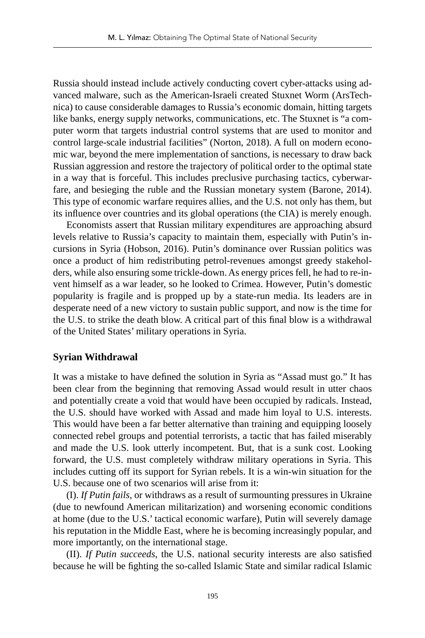Russia should instead include actively conducting covert cyber-attacks using advanced malware, such as the American-Israeli created Stuxnet Worm (ArsTechnica) to cause considerable damages to Russia's economic domain, hitting targets like banks, energy supply networks, communications, etc. The Stuxnet is "a computer worm that targets industrial control systems that are used to monitor and control large-scale industrial facilities" (Norton, 2018). A full on modern economic war, beyond the mere implementation of sanctions, is necessary to draw back Russian aggression and restore the trajectory of political order to the optimal state in a way that is forceful. This includes preclusive purchasing tactics, cyberwarfare, and besieging the ruble and the Russian monetary system (Barone, 2014). This type of economic warfare requires allies, and the U.S. not only has them, but its influence over countries and its global operations (the CIA) is merely enough.

Economists assert that Russian military expenditures are approaching absurd levels relative to Russia's capacity to maintain them, especially with Putin's incursions in Syria (Hobson, 2016). Putin's dominance over Russian politics was once a product of him redistributing petrol-revenues amongst greedy stakeholders, while also ensuring some trickle-down. As energy prices fell, he had to re-invent himself as a war leader, so he looked to Crimea. However, Putin's domestic popularity is fragile and is propped up by a state-run media. Its leaders are in desperate need of a new victory to sustain public support, and now is the time for the U.S. to strike the death blow. A critical part of this final blow is a withdrawal of the United States' military operations in Syria.

## **Syrian Withdrawal**

It was a mistake to have defined the solution in Syria as "Assad must go." It has been clear from the beginning that removing Assad would result in utter chaos and potentially create a void that would have been occupied by radicals. Instead, the U.S. should have worked with Assad and made him loyal to U.S. interests. This would have been a far better alternative than training and equipping loosely connected rebel groups and potential terrorists, a tactic that has failed miserably and made the U.S. look utterly incompetent. But, that is a sunk cost. Looking forward, the U.S. must completely withdraw military operations in Syria. This includes cutting off its support for Syrian rebels. It is a win-win situation for the U.S. because one of two scenarios will arise from it:

(I). *If Putin fails,* or withdraws as a result of surmounting pressures in Ukraine (due to newfound American militarization) and worsening economic conditions at home (due to the U.S.' tactical economic warfare), Putin will severely damage his reputation in the Middle East, where he is becoming increasingly popular, and more importantly, on the international stage.

(II). *If Putin succeeds*, the U.S. national security interests are also satisfied because he will be fighting the so-called Islamic State and similar radical Islamic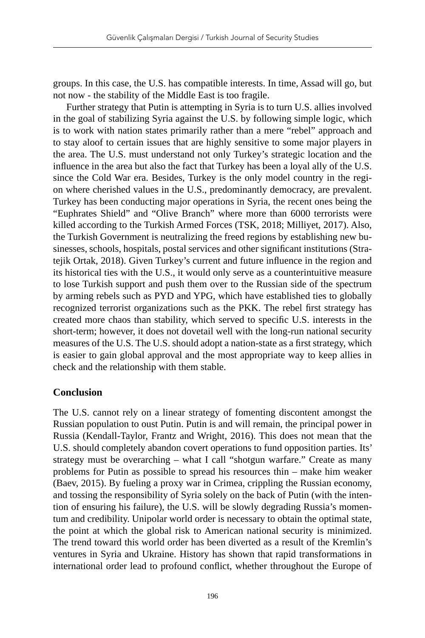groups. In this case, the U.S. has compatible interests. In time, Assad will go, but not now - the stability of the Middle East is too fragile.

Further strategy that Putin is attempting in Syria is to turn U.S. allies involved in the goal of stabilizing Syria against the U.S. by following simple logic, which is to work with nation states primarily rather than a mere "rebel" approach and to stay aloof to certain issues that are highly sensitive to some major players in the area. The U.S. must understand not only Turkey's strategic location and the influence in the area but also the fact that Turkey has been a loyal ally of the U.S. since the Cold War era. Besides, Turkey is the only model country in the region where cherished values in the U.S., predominantly democracy, are prevalent. Turkey has been conducting major operations in Syria, the recent ones being the "Euphrates Shield" and "Olive Branch" where more than 6000 terrorists were killed according to the Turkish Armed Forces (TSK, 2018; Milliyet, 2017). Also, the Turkish Government is neutralizing the freed regions by establishing new businesses, schools, hospitals, postal services and other significant institutions (Stratejik Ortak, 2018). Given Turkey's current and future influence in the region and its historical ties with the U.S., it would only serve as a counterintuitive measure to lose Turkish support and push them over to the Russian side of the spectrum by arming rebels such as PYD and YPG, which have established ties to globally recognized terrorist organizations such as the PKK. The rebel first strategy has created more chaos than stability, which served to specific U.S. interests in the short-term; however, it does not dovetail well with the long-run national security measures of the U.S. The U.S. should adopt a nation-state as a first strategy, which is easier to gain global approval and the most appropriate way to keep allies in check and the relationship with them stable.

# **Conclusion**

The U.S. cannot rely on a linear strategy of fomenting discontent amongst the Russian population to oust Putin. Putin is and will remain, the principal power in Russia (Kendall-Taylor, Frantz and Wright, 2016). This does not mean that the U.S. should completely abandon covert operations to fund opposition parties. Its' strategy must be overarching – what I call "shotgun warfare." Create as many problems for Putin as possible to spread his resources thin – make him weaker (Baev, 2015). By fueling a proxy war in Crimea, crippling the Russian economy, and tossing the responsibility of Syria solely on the back of Putin (with the intention of ensuring his failure), the U.S. will be slowly degrading Russia's momentum and credibility. Unipolar world order is necessary to obtain the optimal state, the point at which the global risk to American national security is minimized. The trend toward this world order has been diverted as a result of the Kremlin's ventures in Syria and Ukraine. History has shown that rapid transformations in international order lead to profound conflict, whether throughout the Europe of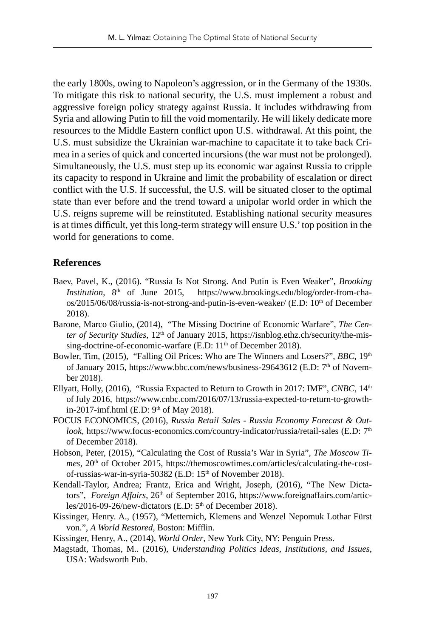the early 1800s, owing to Napoleon's aggression, or in the Germany of the 1930s. To mitigate this risk to national security, the U.S. must implement a robust and aggressive foreign policy strategy against Russia. It includes withdrawing from Syria and allowing Putin to fill the void momentarily. He will likely dedicate more resources to the Middle Eastern conflict upon U.S. withdrawal. At this point, the U.S. must subsidize the Ukrainian war-machine to capacitate it to take back Crimea in a series of quick and concerted incursions (the war must not be prolonged). Simultaneously, the U.S. must step up its economic war against Russia to cripple its capacity to respond in Ukraine and limit the probability of escalation or direct conflict with the U.S. If successful, the U.S. will be situated closer to the optimal state than ever before and the trend toward a unipolar world order in which the U.S. reigns supreme will be reinstituted. Establishing national security measures is at times difficult, yet this long-term strategy will ensure U.S.' top position in the world for generations to come.

## **References**

- Baev, Pavel, K., (2016). "Russia Is Not Strong. And Putin is Even Weaker", *Brooking Institution*, 8<sup>th</sup> of June 2015, https://www.brookings.edu/blog/order-from-chaos/2015/06/08/russia-is-not-strong-and-putin-is-even-weaker/ (E.D: 10<sup>th</sup> of December 2018).
- Barone, Marco Giulio, (2014), "The Missing Doctrine of Economic Warfare", *The Center of Security Studies*,  $12<sup>th</sup>$  of January 2015, https://isnblog.ethz.ch/security/the-missing-doctrine-of-economic-warfare (E.D:  $11<sup>th</sup>$  of December 2018).
- Bowler, Tim, (2015), "Falling Oil Prices: Who are The Winners and Losers?", *BBC*, 19<sup>th</sup> of January 2015, https://www.bbc.com/news/business-29643612 (E.D: 7<sup>th</sup> of November 2018).
- Ellyatt, Holly, (2016), "Russia Expacted to Return to Growth in 2017: IMF", *CNBC*, 14th of July 2016, https://www.cnbc.com/2016/07/13/russia-expected-to-return-to-growthin-2017-imf.html (E.D:  $9<sup>th</sup>$  of May 2018).
- FOCUS ECONOMICS, (2016), *Russia Retail Sales Russia Economy Forecast & Outlook*, https://www.focus-economics.com/country-indicator/russia/retail-sales (E.D: 7<sup>th</sup> of December 2018).
- Hobson, Peter, (2015), "Calculating the Cost of Russia's War in Syria", *The Moscow Times*, 20<sup>th</sup> of October 2015, https://themoscowtimes.com/articles/calculating-the-costof-russias-war-in-syria-50382 (E.D: 15<sup>th</sup> of November 2018).
- Kendall-Taylor, Andrea; Frantz, Erica and Wright, Joseph, (2016), "The New Dictators", *Foreign Affairs*, 26<sup>th</sup> of September 2016, https://www.foreignaffairs.com/articles/2016-09-26/new-dictators (E.D: 5<sup>th</sup> of December 2018).
- Kissinger, Henry. A., (1957), "Metternich, Klemens and Wenzel Nepomuk Lothar Fürst von.", *A World Restored*, Boston: Mifflin.

Kissinger, Henry, A., (2014), *World Order*, New York City, NY: Penguin Press.

Magstadt, Thomas, M.. (2016), *Understanding Politics Ideas, Institutions, and Issues*, USA: Wadsworth Pub.